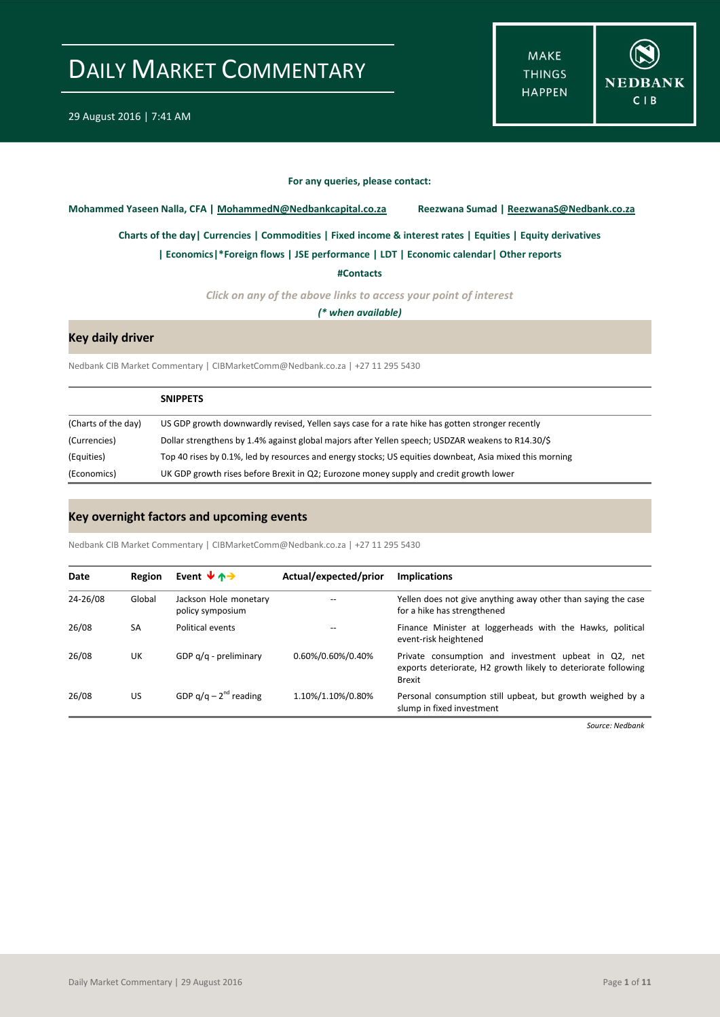**MAKE THINGS HAPPEN** 



#### **For any queries, please contact:**

<span id="page-0-0"></span>**Mohammed Yaseen Nalla, CFA | MohammedN@Nedbankcapital.co.za Reezwana Sumad | ReezwanaS@Nedbank.co.za**

**[Charts of the day|](#page-1-0) [Currencies](#page-2-0) [| Commodities](#page-3-0) | [Fixed income & interest rates](#page-4-0) [| Equities](#page-5-0) | Equity derivatives**

**[| Economics|](#page-6-0)\*Foreign flows | [JSE performance](#page-7-0) [| LDT](#page-8-0) [| Economic calendar|](#page-8-1) Other reports** 

**[#Contacts](#page-9-0)**

*Click on any of the above links to access your point of interest*

*(\* when available)*

### **Key daily driver**

Nedbank CIB Market Commentary | CIBMarketComm@Nedbank.co.za | +27 11 295 5430

|                     | <b>SNIPPETS</b>                                                                                         |
|---------------------|---------------------------------------------------------------------------------------------------------|
| (Charts of the day) | US GDP growth downwardly revised, Yellen says case for a rate hike has gotten stronger recently         |
| (Currencies)        | Dollar strengthens by 1.4% against global majors after Yellen speech; USDZAR weakens to R14.30/\$       |
| (Equities)          | Top 40 rises by 0.1%, led by resources and energy stocks; US equities downbeat, Asia mixed this morning |
| (Economics)         | UK GDP growth rises before Brexit in Q2; Eurozone money supply and credit growth lower                  |

#### **Key overnight factors and upcoming events**

Nedbank CIB Market Commentary | CIBMarketComm@Nedbank.co.za | +27 11 295 5430

| Date     | Region    | Event $\forall$ $\land \rightarrow$       | Actual/expected/prior | <b>Implications</b>                                                                                                                     |
|----------|-----------|-------------------------------------------|-----------------------|-----------------------------------------------------------------------------------------------------------------------------------------|
| 24-26/08 | Global    | Jackson Hole monetary<br>policy symposium |                       | Yellen does not give anything away other than saying the case<br>for a hike has strengthened                                            |
| 26/08    | <b>SA</b> | Political events                          |                       | Finance Minister at loggerheads with the Hawks, political<br>event-risk heightened                                                      |
| 26/08    | UK        | GDP g/g - preliminary                     | 0.60%/0.60%/0.40%     | Private consumption and investment upbeat in Q2, net<br>exports deteriorate, H2 growth likely to deteriorate following<br><b>Brexit</b> |
| 26/08    | US        | GDP $q/q - 2^{nd}$ reading                | 1.10%/1.10%/0.80%     | Personal consumption still upbeat, but growth weighed by a<br>slump in fixed investment                                                 |

*Source: Nedbank*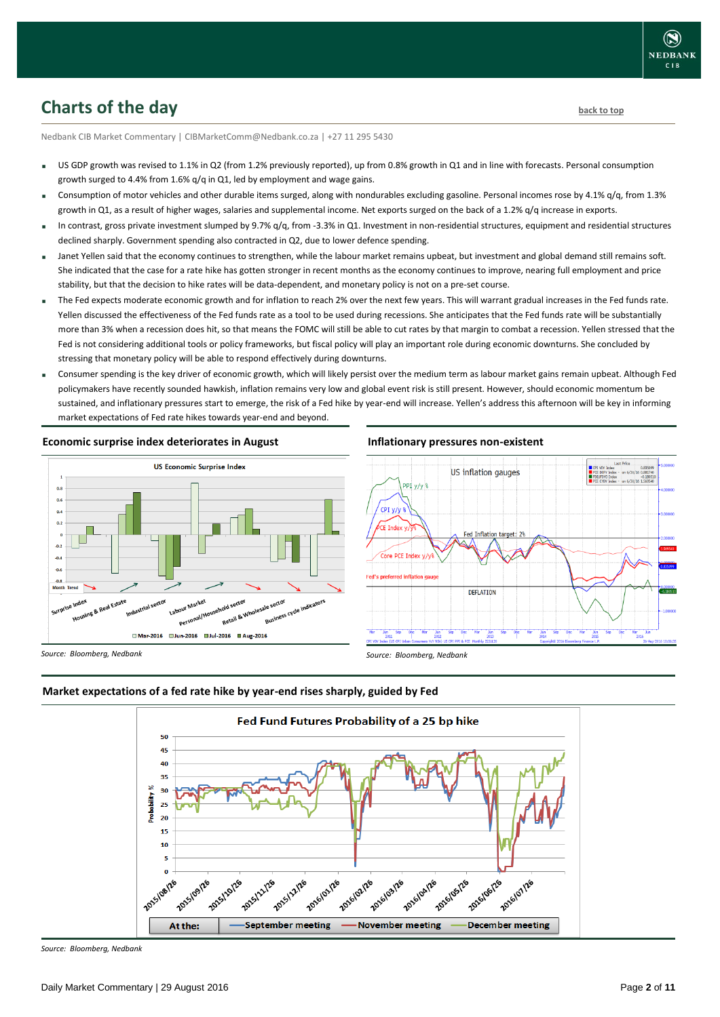# <span id="page-1-0"></span>**Charts of the day** [back to top](#page-0-0) back to top

Nedbank CIB Market Commentary | CIBMarketComm@Nedbank.co.za | +27 11 295 5430

- US GDP growth was revised to 1.1% in Q2 (from 1.2% previously reported), up from 0.8% growth in Q1 and in line with forecasts. Personal consumption growth surged to 4.4% from 1.6% q/q in Q1, led by employment and wage gains.
- Consumption of motor vehicles and other durable items surged, along with nondurables excluding gasoline. Personal incomes rose by 4.1% q/q, from 1.3% growth in Q1, as a result of higher wages, salaries and supplemental income. Net exports surged on the back of a 1.2% q/q increase in exports.
- In contrast, gross private investment slumped by 9.7% q/q, from -3.3% in Q1. Investment in non-residential structures, equipment and residential structures declined sharply. Government spending also contracted in Q2, due to lower defence spending.
- Janet Yellen said that the economy continues to strengthen, while the labour market remains upbeat, but investment and global demand still remains soft. She indicated that the case for a rate hike has gotten stronger in recent months as the economy continues to improve, nearing full employment and price stability, but that the decision to hike rates will be data-dependent, and monetary policy is not on a pre-set course.
- The Fed expects moderate economic growth and for inflation to reach 2% over the next few years. This will warrant gradual increases in the Fed funds rate. Yellen discussed the effectiveness of the Fed funds rate as a tool to be used during recessions. She anticipates that the Fed funds rate will be substantially more than 3% when a recession does hit, so that means the FOMC will still be able to cut rates by that margin to combat a recession. Yellen stressed that the Fed is not considering additional tools or policy frameworks, but fiscal policy will play an important role during economic downturns. She concluded by stressing that monetary policy will be able to respond effectively during downturns.
- Consumer spending is the key driver of economic growth, which will likely persist over the medium term as labour market gains remain upbeat. Although Fed policymakers have recently sounded hawkish, inflation remains very low and global event risk is still present. However, should economic momentum be sustained, and inflationary pressures start to emerge, the risk of a Fed hike by year-end will increase. Yellen's address this afternoon will be key in informing market expectations of Fed rate hikes towards year-end and beyond.

**Economic surprise index deteriorates in August**



#### **Inflationary pressures non-existent**



*Source: Bloomberg, Nedbank*





*Source: Bloomberg, Nedbank*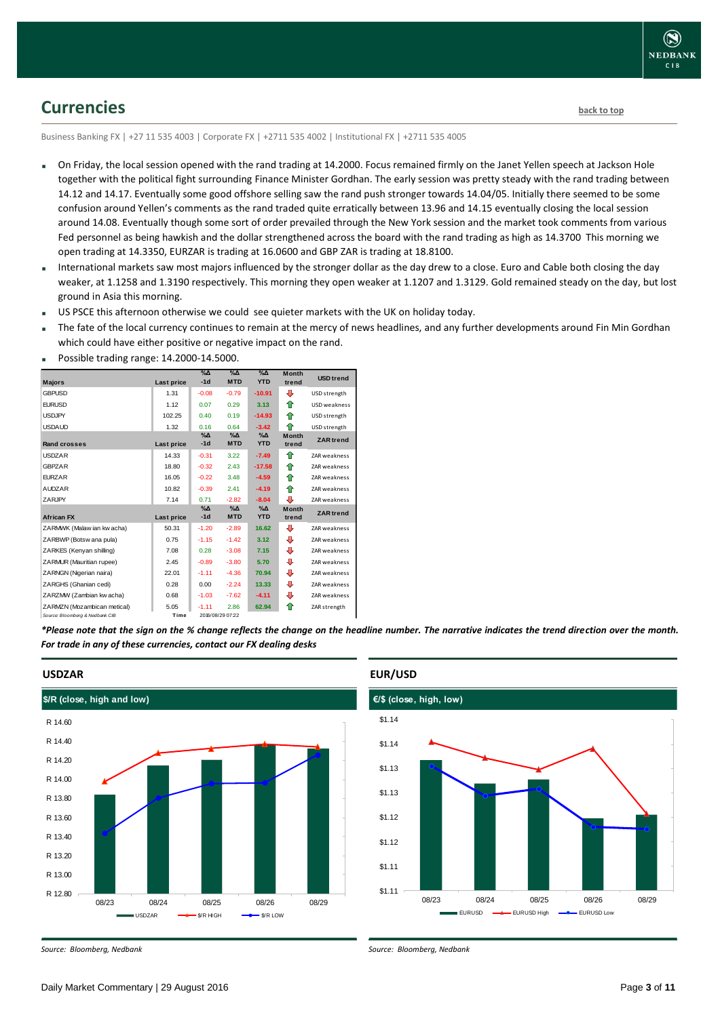

### <span id="page-2-0"></span>**Currencies [back to top](#page-0-0)**

Business Banking FX | +27 11 535 4003 | Corporate FX | +2711 535 4002 | Institutional FX | +2711 535 4005

- On Friday, the local session opened with the rand trading at 14.2000. Focus remained firmly on the Janet Yellen speech at Jackson Hole together with the political fight surrounding Finance Minister Gordhan. The early session was pretty steady with the rand trading between 14.12 and 14.17. Eventually some good offshore selling saw the rand push stronger towards 14.04/05. Initially there seemed to be some confusion around Yellen's comments as the rand traded quite erratically between 13.96 and 14.15 eventually closing the local session around 14.08. Eventually though some sort of order prevailed through the New York session and the market took comments from various Fed personnel as being hawkish and the dollar strengthened across the board with the rand trading as high as 14.3700 This morning we open trading at 14.3350, EURZAR is trading at 16.0600 and GBP ZAR is trading at 18.8100.
- International markets saw most majors influenced by the stronger dollar as the day drew to a close. Euro and Cable both closing the day weaker, at 1.1258 and 1.3190 respectively. This morning they open weaker at 1.1207 and 1.3129. Gold remained steady on the day, but lost ground in Asia this morning.
- US PSCE this afternoon otherwise we could see quieter markets with the UK on holiday today.
- The fate of the local currency continues to remain at the mercy of news headlines, and any further developments around Fin Min Gordhan which could have either positive or negative impact on the rand.

| <b>Majors</b>                   | Last price | $\%$ $\Delta$<br>$-1d$ | $\sqrt{\Delta}$<br><b>MTD</b> | $\%$ $\Delta$<br><b>YTD</b> | <b>Month</b><br>trend | <b>USD</b> trend    |
|---------------------------------|------------|------------------------|-------------------------------|-----------------------------|-----------------------|---------------------|
| <b>GBPUSD</b>                   | 1.31       | $-0.08$                | $-0.79$                       | $-10.91$                    | ⊕                     | USD strength        |
| <b>EURUSD</b>                   | 1.12       | 0.07                   | 0.29                          | 3.13                        | ⇑                     | USD weakness        |
| <b>USDJPY</b>                   | 102.25     | 0.40                   | 0.19                          | $-14.93$                    | ♠                     | USD strength        |
| <b>USDAUD</b>                   | 1.32       | 0.16                   | 0.64                          | $-3.42$                     | ♠                     | USD strength        |
| <b>Rand crosses</b>             | Last price | $% \Delta$<br>$-1d$    | $\% \Delta$<br><b>MTD</b>     | $\% \Delta$<br><b>YTD</b>   | <b>Month</b><br>trend | <b>ZAR</b> trend    |
| <b>USDZAR</b>                   | 14.33      | $-0.31$                | 3.22                          | $-7.49$                     | ♠                     | ZAR weakness        |
| <b>GBPZAR</b>                   | 18.80      | $-0.32$                | 2.43                          | $-17.58$                    | ♠                     | ZAR weakness        |
| <b>FURZAR</b>                   | 16.05      | $-0.22$                | 3.48                          | $-4.59$                     | ⇑                     | ZAR weakness        |
| <b>AUDZAR</b>                   | 10.82      | $-0.39$                | 2.41                          | $-4.19$                     | ⇑                     | <b>ZAR</b> weakness |
| ZARJPY                          | 7.14       | 0.71                   | $-2.82$                       | $-8.04$                     | ⊕                     | ZAR weakness        |
| <b>African FX</b>               | Last price | $\%$ $\Delta$<br>$-1d$ | $\% \Delta$<br><b>MTD</b>     | $\% \Delta$<br><b>YTD</b>   | <b>Month</b><br>trend | <b>ZAR</b> trend    |
| ZARMWK (Malaw ian kw acha)      | 50.31      | $-1.20$                | $-2.89$                       | 16.62                       | ⊕                     | <b>ZAR</b> weakness |
| ZARBWP (Botsw ana pula)         | 0.75       | $-1.15$                | $-1.42$                       | 3.12                        | ⊕                     | ZAR weakness        |
| ZARKES (Kenyan shilling)        | 7.08       | 0.28                   | $-3.08$                       | 7.15                        | ⊕                     | <b>ZAR</b> weakness |
| ZARMUR (Mauritian rupee)        | 2.45       | $-0.89$                | $-3.80$                       | 5.70                        | ⊕                     | <b>ZAR</b> weakness |
| ZARNGN (Nigerian naira)         | 22.01      | $-1.11$                | $-4.36$                       | 70.94                       | ⊕                     | ZAR weakness        |
| ZARGHS (Ghanian cedi)           | 0.28       | 0.00                   | $-2.24$                       | 13.33                       | ⊕                     | ZAR weakness        |
| ZARZMW (Zambian kw acha)        | 0.68       | $-1.03$                | $-7.62$                       | $-4.11$                     | ⊕                     | ZAR weakness        |
| ZARMZN (Mozambican metical)     | 5.05       | $-1.11$                | 2.86                          | 62.94                       | ⇑                     | ZAR strength        |
| Source: Bloomberg & Nedbank CIB | Time       |                        | 2016/08/29 07:22              |                             |                       |                     |

Possible trading range: 14.2000-14.5000.

*\*Please note that the sign on the % change reflects the change on the headline number. The narrative indicates the trend direction over the month. For trade in any of these currencies, contact our FX dealing desks*



#### **USDZAR**

*Source: Bloomberg, Nedbank*

### **EUR/USD**



*Source: Bloomberg, Nedbank*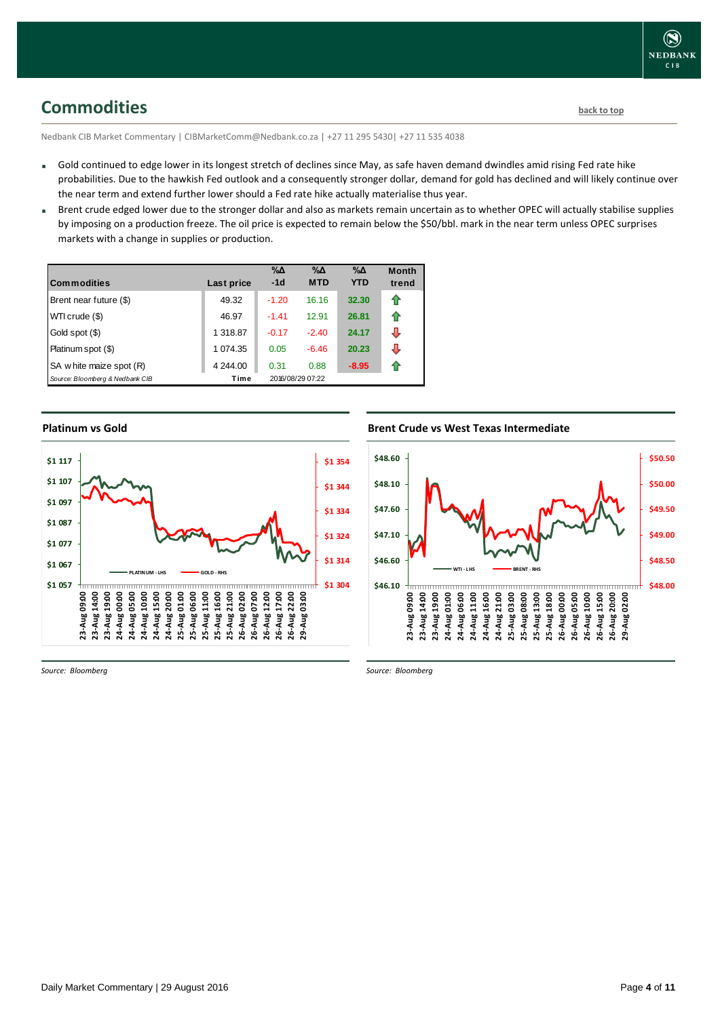# <span id="page-3-0"></span>**Commodities [back to top](#page-0-0)**

Nedbank CIB Market Commentary | CIBMarketComm@Nedbank.co.za | +27 11 295 5430| +27 11 535 4038

- Gold continued to edge lower in its longest stretch of declines since May, as safe haven demand dwindles amid rising Fed rate hike probabilities. Due to the hawkish Fed outlook and a consequently stronger dollar, demand for gold has declined and will likely continue over the near term and extend further lower should a Fed rate hike actually materialise thus year.
- Brent crude edged lower due to the stronger dollar and also as markets remain uncertain as to whether OPEC will actually stabilise supplies by imposing on a production freeze. The oil price is expected to remain below the \$50/bbl. mark in the near term unless OPEC surprises markets with a change in supplies or production.

| <b>Commodities</b>              | Last price | $\% \Delta$<br>$-1d$ | $\% \Delta$<br><b>MTD</b> | $\% \Delta$<br><b>YTD</b> | <b>Month</b><br>trend |
|---------------------------------|------------|----------------------|---------------------------|---------------------------|-----------------------|
| Brent near future (\$)          | 49.32      | $-1.20$              | 16.16                     | 32.30                     | ⇑                     |
| WTI crude (\$)                  | 46.97      | $-1.41$              | 12.91                     | 26.81                     | ⇑                     |
| Gold spot (\$)                  | 1 318.87   | $-0.17$              | $-2.40$                   | 24.17                     | J                     |
| Platinum spot (\$)              | 1 074.35   | 0.05                 | $-6.46$                   | 20.23                     | J                     |
| SA w hite maize spot (R)        | 4 244.00   | 0.31                 | 0.88                      | $-8.95$                   | 11                    |
| Source: Bloomberg & Nedbank CIB | Time       |                      | 2016/08/29 07:22          |                           |                       |

#### **Platinum vs Gold**



#### **Brent Crude vs West Texas Intermediate**



*Source: Bloomberg*

*Source: Bloomberg*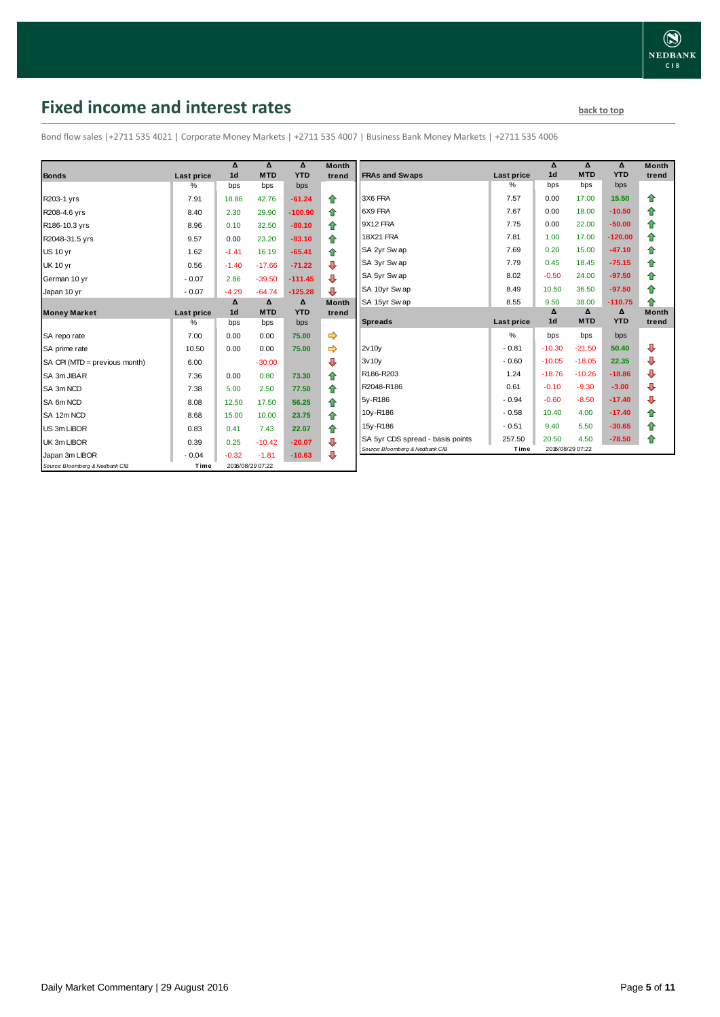# <span id="page-4-0"></span>**Fixed income and interest rates back to the line of the set of the set of the set of the set of the set of the set of the set of the set of the set of the set of the set of the set of the set of the set of the set of th**

Bond flow sales |+2711 535 4021 | Corporate Money Markets | +2711 535 4007 | Business Bank Money Markets | +2711 535 4006

|                                 |                 | Δ<br>1 <sub>d</sub> | Δ<br><b>MTD</b>  | Δ<br><b>YTD</b> | <b>Month</b> |
|---------------------------------|-----------------|---------------------|------------------|-----------------|--------------|
| <b>Bonds</b>                    | Last price<br>% | bps                 | bps              | bps             | trend        |
|                                 |                 |                     |                  |                 |              |
| R203-1 yrs                      | 7.91            | 18.86               | 42.76            | $-61.24$        | ♠            |
| R208-4.6 yrs                    | 8.40            | 2.30                | 29.90            | $-100.90$       | 合            |
| R186-10.3 yrs                   | 8.96            | 0.10                | 32.50            | $-80.10$        | ⇮            |
| R2048-31.5 yrs                  | 9.57            | 0.00                | 23.20            | $-83.10$        | ⇮            |
| <b>US 10 yr</b>                 | 1.62            | $-1.41$             | 16.19            | $-65.41$        | 合            |
| <b>UK 10 yr</b>                 | 0.56            | $-1.40$             | $-17.66$         | $-71.22$        | ⇩            |
| German 10 yr                    | $-0.07$         | 2.86                | $-39.50$         | $-111.45$       | ⇩            |
| Japan 10 yr                     | $-0.07$         | $-4.29$             | $-64.74$         | $-125.28$       | ⊕            |
|                                 |                 | Δ                   | Δ                | Δ               | <b>Month</b> |
| <b>Money Market</b>             | Last price      | 1 <sub>d</sub>      | <b>MTD</b>       | <b>YTD</b>      | trend        |
|                                 | $\%$            | bps                 | bps              | bps             |              |
| SA repo rate                    | 7.00            | 0.00                | 0.00             | 75.00           |              |
| SA prime rate                   | 10.50           | 0.00                | 0.00             | 75.00           | ⇨            |
| SA CPI (MTD = previous month)   | 6.00            |                     | $-30.00$         |                 | ⊕            |
| SA 3m JIBAR                     | 7.36            | 0.00                | 0.80             | 73.30           | 合            |
| SA 3m NCD                       | 7.38            | 5.00                | 2.50             | 77.50           | 合            |
| SA 6m NCD                       | 8.08            | 12.50               | 17.50            | 56.25           | 合            |
| SA 12m NCD                      | 8.68            | 15.00               | 10.00            | 23.75           | 合            |
| US 3m LIBOR                     | 0.83            | 0.41                | 7.43             | 22.07           | ⇑            |
| UK 3m LIBOR                     | 0.39            | 0.25                | $-10.42$         | $-20.07$        | ⊕            |
| Japan 3m LIBOR                  | $-0.04$         | $-0.32$             | $-1.81$          | $-10.63$        | ⊕            |
| Source: Bloomberg & Nedbank CIB | Time            |                     | 2016/08/29 07:22 |                 |              |

| Month  |                                  |                    | Δ<br>1 <sub>d</sub> | Δ<br><b>MTD</b> | Δ<br><b>YTD</b> | <b>Month</b> |
|--------|----------------------------------|--------------------|---------------------|-----------------|-----------------|--------------|
| trend  | <b>FRAs and Swaps</b>            | Last price<br>$\%$ | bps                 | bps             | bps             | trend        |
|        | 3X6 FRA                          | 7.57               | 0.00                | 17.00           | 15.50           |              |
| ⇮      |                                  |                    |                     |                 |                 | ⇑            |
| ✿      | 6X9 FRA                          | 7.67               | 0.00                | 18.00           | $-10.50$        | ⇮            |
| ⇮      | 9X12 FRA                         | 7.75               | 0.00                | 22.00           | $-50.00$        | 合            |
| 合      | <b>18X21 FRA</b>                 | 7.81               | 1.00                | 17.00           | $-120.00$       | 合            |
| 合      | SA 2yr Sw ap                     | 7.69               | 0.20                | 15.00           | $-47.10$        | 合            |
| ⊕      | SA 3yr Sw ap                     | 7.79               | 0.45                | 18.45           | $-75.15$        | 合            |
| ⊕      | SA 5yr Swap                      | 8.02               | $-0.50$             | 24.00           | $-97.50$        | ⇑            |
| ⊕      | SA 10yr Swap                     | 8.49               | 10.50               | 36.50           | $-97.50$        | 合            |
| Month  | SA 15yr Swap                     | 8.55               | 9.50                | 38.00           | $-110.75$       | ♠            |
| trend  |                                  |                    | Δ                   | Δ               | Δ               | <b>Month</b> |
|        |                                  |                    |                     |                 |                 |              |
|        | <b>Spreads</b>                   | Last price         | 1 <sub>d</sub>      | <b>MTD</b>      | <b>YTD</b>      | trend        |
| ⇛      |                                  | $\frac{9}{6}$      | bps                 | bps             | bps             |              |
| ⇛      | 2v10v                            | $-0.81$            | $-10.30$            | $-21.50$        | 50.40           | ⊕            |
| ⊕      | 3v10v                            | $-0.60$            | $-10.05$            | $-18.05$        | 22.35           | ⊕            |
| 合      | R186-R203                        | 1.24               | $-18.76$            | $-10.26$        | $-18.86$        | ⊕            |
| 合      | R2048-R186                       | 0.61               | $-0.10$             | $-9.30$         | $-3.00$         | ⊕            |
|        | 5y-R186                          | $-0.94$            | $-0.60$             | $-8.50$         | $-17.40$        | ⊕            |
| ⇑      | 10y-R186                         | $-0.58$            | 10.40               | 4.00            | $-17.40$        | ⇑            |
| 合      | 15y-R186                         | $-0.51$            | 9.40                | 5.50            | $-30.65$        | 合            |
| ⇑<br>⊕ | SA 5yr CDS spread - basis points | 257.50             | 20.50               | 4.50            | $-78.50$        | ✿            |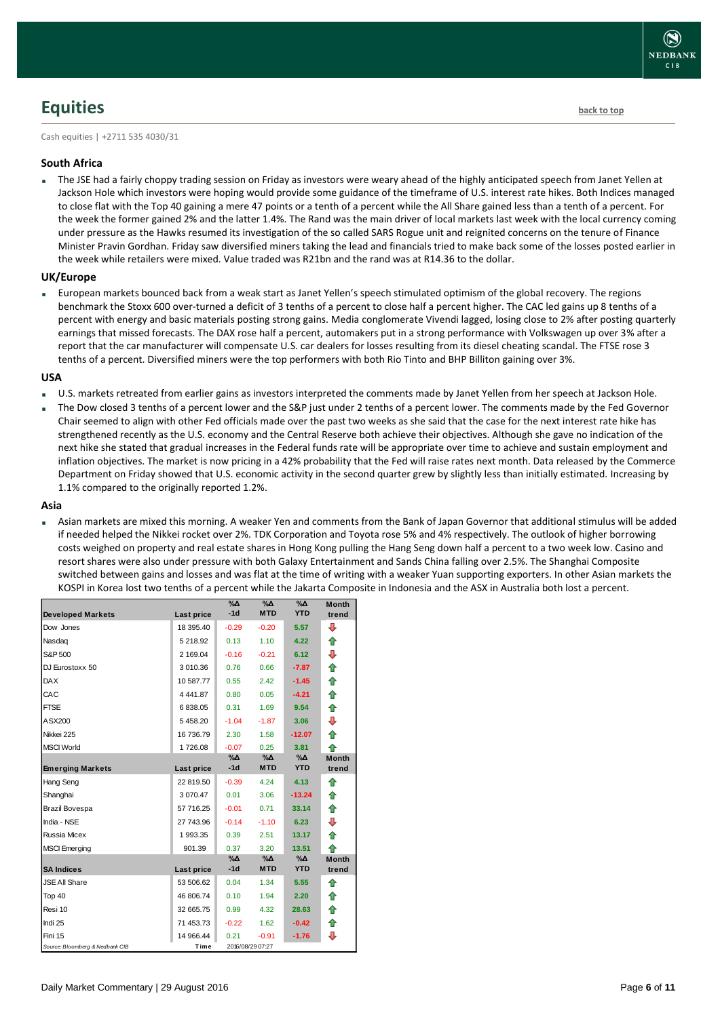# <span id="page-5-0"></span>**Equities [back to top](#page-0-0)**

Cash equities | +2711 535 4030/31

#### **South Africa**

 The JSE had a fairly choppy trading session on Friday as investors were weary ahead of the highly anticipated speech from Janet Yellen at Jackson Hole which investors were hoping would provide some guidance of the timeframe of U.S. interest rate hikes. Both Indices managed to close flat with the Top 40 gaining a mere 47 points or a tenth of a percent while the All Share gained less than a tenth of a percent. For the week the former gained 2% and the latter 1.4%. The Rand was the main driver of local markets last week with the local currency coming under pressure as the Hawks resumed its investigation of the so called SARS Rogue unit and reignited concerns on the tenure of Finance Minister Pravin Gordhan. Friday saw diversified miners taking the lead and financials tried to make back some of the losses posted earlier in the week while retailers were mixed. Value traded was R21bn and the rand was at R14.36 to the dollar.

#### **UK/Europe**

 European markets bounced back from a weak start as Janet Yellen's speech stimulated optimism of the global recovery. The regions benchmark the Stoxx 600 over-turned a deficit of 3 tenths of a percent to close half a percent higher. The CAC led gains up 8 tenths of a percent with energy and basic materials posting strong gains. Media conglomerate Vivendi lagged, losing close to 2% after posting quarterly earnings that missed forecasts. The DAX rose half a percent, automakers put in a strong performance with Volkswagen up over 3% after a report that the car manufacturer will compensate U.S. car dealers for losses resulting from its diesel cheating scandal. The FTSE rose 3 tenths of a percent. Diversified miners were the top performers with both Rio Tinto and BHP Billiton gaining over 3%.

#### **USA**

- U.S. markets retreated from earlier gains as investors interpreted the comments made by Janet Yellen from her speech at Jackson Hole.
- The Dow closed 3 tenths of a percent lower and the S&P just under 2 tenths of a percent lower. The comments made by the Fed Governor Chair seemed to align with other Fed officials made over the past two weeks as she said that the case for the next interest rate hike has strengthened recently as the U.S. economy and the Central Reserve both achieve their objectives. Although she gave no indication of the next hike she stated that gradual increases in the Federal funds rate will be appropriate over time to achieve and sustain employment and inflation objectives. The market is now pricing in a 42% probability that the Fed will raise rates next month. Data released by the Commerce Department on Friday showed that U.S. economic activity in the second quarter grew by slightly less than initially estimated. Increasing by 1.1% compared to the originally reported 1.2%.

#### **Asia**

 Asian markets are mixed this morning. A weaker Yen and comments from the Bank of Japan Governor that additional stimulus will be added if needed helped the Nikkei rocket over 2%. TDK Corporation and Toyota rose 5% and 4% respectively. The outlook of higher borrowing costs weighed on property and real estate shares in Hong Kong pulling the Hang Seng down half a percent to a two week low. Casino and resort shares were also under pressure with both Galaxy Entertainment and Sands China falling over 2.5%. The Shanghai Composite switched between gains and losses and was flat at the time of writing with a weaker Yuan supporting exporters. In other Asian markets the KOSPI in Korea lost two tenths of a percent while the Jakarta Composite in Indonesia and the ASX in Australia both lost a percent.

|                                 |              | $\%$ $\Delta$ | $\%$ $\Delta$    | $\%$ $\Delta$ | <b>Month</b> |
|---------------------------------|--------------|---------------|------------------|---------------|--------------|
| <b>Developed Markets</b>        | Last price   | $-1d$         | <b>MTD</b>       | <b>YTD</b>    | trend        |
| Dow Jones                       | 18 395.40    | $-0.29$       | $-0.20$          | 5.57          | ⊕            |
| Nasdag                          | 5 218.92     | 0.13          | 1.10             | 4.22          | ⇑            |
| S&P 500                         | 2 169.04     | $-0.16$       | $-0.21$          | 6.12          | ⇩            |
| DJ Eurostoxx 50                 | 3 010.36     | 0.76          | 0.66             | $-7.87$       | ⇑            |
| <b>DAX</b>                      | 10 587.77    | 0.55          | 2.42             | $-1.45$       | 合            |
| CAC                             | 4 4 4 1 .8 7 | 0.80          | 0.05             | $-4.21$       | ⇑            |
| <b>FTSE</b>                     | 6838.05      | 0.31          | 1.69             | 9.54          | 合            |
| ASX200                          | 5458.20      | $-1.04$       | $-1.87$          | 3.06          | ⇩            |
| Nikkei 225                      | 16 736.79    | 2.30          | 1.58             | $-12.07$      | ⇑            |
| <b>MSCI World</b>               | 1726.08      | $-0.07$       | 0.25             | 3.81          | ⇑            |
|                                 |              | $\% \Delta$   | %Δ               | %Δ            | <b>Month</b> |
| <b>Emerging Markets</b>         | Last price   | $-1d$         | <b>MTD</b>       | <b>YTD</b>    | trend        |
| Hang Seng                       | 22 819.50    | $-0.39$       | 4.24             | 4.13          | ⇮            |
| Shanghai                        | 3 070.47     | 0.01          | 3.06             | $-13.24$      | ⇮            |
| Brazil Bovespa                  | 57 716.25    | $-0.01$       | 0.71             | 33.14         | ⇑            |
| India - NSE                     | 27 743.96    | $-0.14$       | $-1.10$          | 6.23          | ⇩            |
| <b>Russia Micex</b>             | 1993.35      | 0.39          | 2.51             | 13.17         | ⇑            |
| <b>MSCI</b> Emerging            | 901.39       | 0.37          | 3.20             | 13.51         | ♠            |
|                                 |              | %Δ            | %Δ               | %Δ            | <b>Month</b> |
| <b>SA Indices</b>               | Last price   | $-1d$         | <b>MTD</b>       | <b>YTD</b>    | trend        |
| <b>JSE All Share</b>            | 53 506.62    | 0.04          | 1.34             | 5.55          | ⇑            |
| Top 40                          | 46 806.74    | 0.10          | 1.94             | 2.20          | ⇮            |
| Resi 10                         | 32 665.75    | 0.99          | 4.32             | 28.63         | 合            |
| Indi 25                         | 71 453.73    | $-0.22$       | 1.62             | $-0.42$       | 合            |
| Fini 15                         | 14 966.44    | 0.21          | $-0.91$          | $-1.76$       | ⊕            |
| Source: Bloomberg & Nedbank CIB | Time         |               | 2016/08/29 07:27 |               |              |

 $\left( \right)$ **NEDBANK**  $CIB$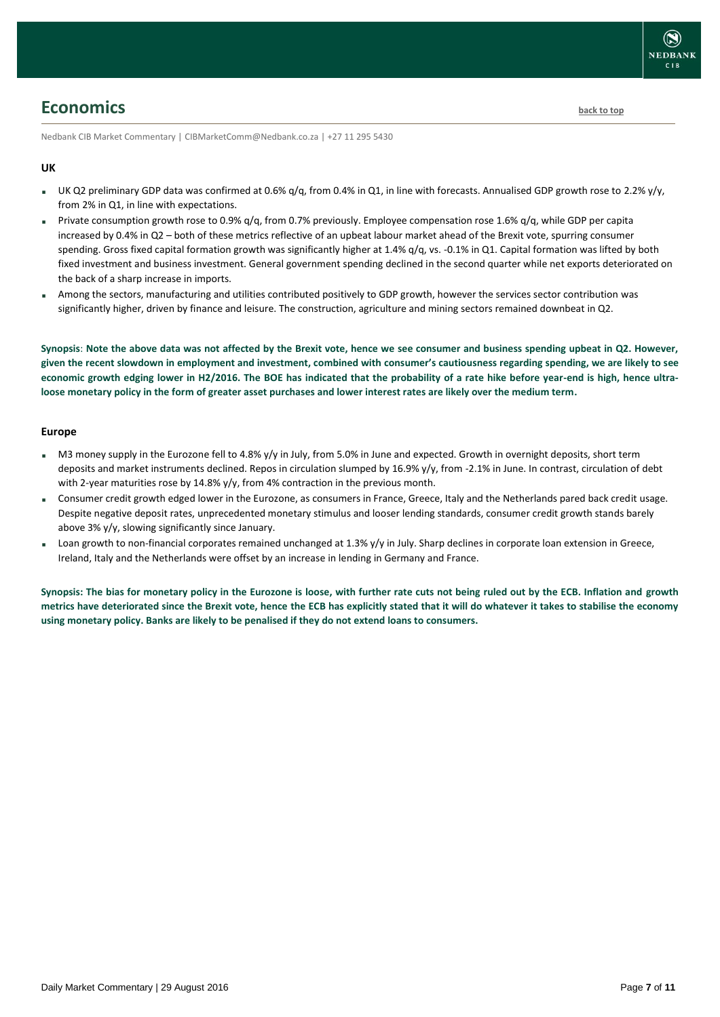### <span id="page-6-0"></span>**Economics [back to top](#page-0-0)**

Nedbank CIB Market Commentary | CIBMarketComm@Nedbank.co.za | +27 11 295 5430

#### **UK**

- UK Q2 preliminary GDP data was confirmed at 0.6%  $q/q$ , from 0.4% in Q1, in line with forecasts. Annualised GDP growth rose to 2.2%  $y/y$ , from 2% in Q1, in line with expectations.
- Private consumption growth rose to 0.9%  $q/q$ , from 0.7% previously. Employee compensation rose 1.6%  $q/q$ , while GDP per capita increased by 0.4% in Q2 – both of these metrics reflective of an upbeat labour market ahead of the Brexit vote, spurring consumer spending. Gross fixed capital formation growth was significantly higher at 1.4% q/q, vs. -0.1% in Q1. Capital formation was lifted by both fixed investment and business investment. General government spending declined in the second quarter while net exports deteriorated on the back of a sharp increase in imports.
- Among the sectors, manufacturing and utilities contributed positively to GDP growth, however the services sector contribution was significantly higher, driven by finance and leisure. The construction, agriculture and mining sectors remained downbeat in Q2.

**Synopsis**: **Note the above data was not affected by the Brexit vote, hence we see consumer and business spending upbeat in Q2. However, given the recent slowdown in employment and investment, combined with consumer's cautiousness regarding spending, we are likely to see economic growth edging lower in H2/2016. The BOE has indicated that the probability of a rate hike before year-end is high, hence ultraloose monetary policy in the form of greater asset purchases and lower interest rates are likely over the medium term.**

#### **Europe**

- M3 money supply in the Eurozone fell to 4.8% y/y in July, from 5.0% in June and expected. Growth in overnight deposits, short term deposits and market instruments declined. Repos in circulation slumped by 16.9% y/y, from -2.1% in June. In contrast, circulation of debt with 2-year maturities rose by 14.8% y/y, from 4% contraction in the previous month.
- Consumer credit growth edged lower in the Eurozone, as consumers in France, Greece, Italy and the Netherlands pared back credit usage. Despite negative deposit rates, unprecedented monetary stimulus and looser lending standards, consumer credit growth stands barely above 3% y/y, slowing significantly since January.
- Loan growth to non-financial corporates remained unchanged at 1.3% y/y in July. Sharp declines in corporate loan extension in Greece, Ireland, Italy and the Netherlands were offset by an increase in lending in Germany and France.

**Synopsis: The bias for monetary policy in the Eurozone is loose, with further rate cuts not being ruled out by the ECB. Inflation and growth metrics have deteriorated since the Brexit vote, hence the ECB has explicitly stated that it will do whatever it takes to stabilise the economy using monetary policy. Banks are likely to be penalised if they do not extend loans to consumers.**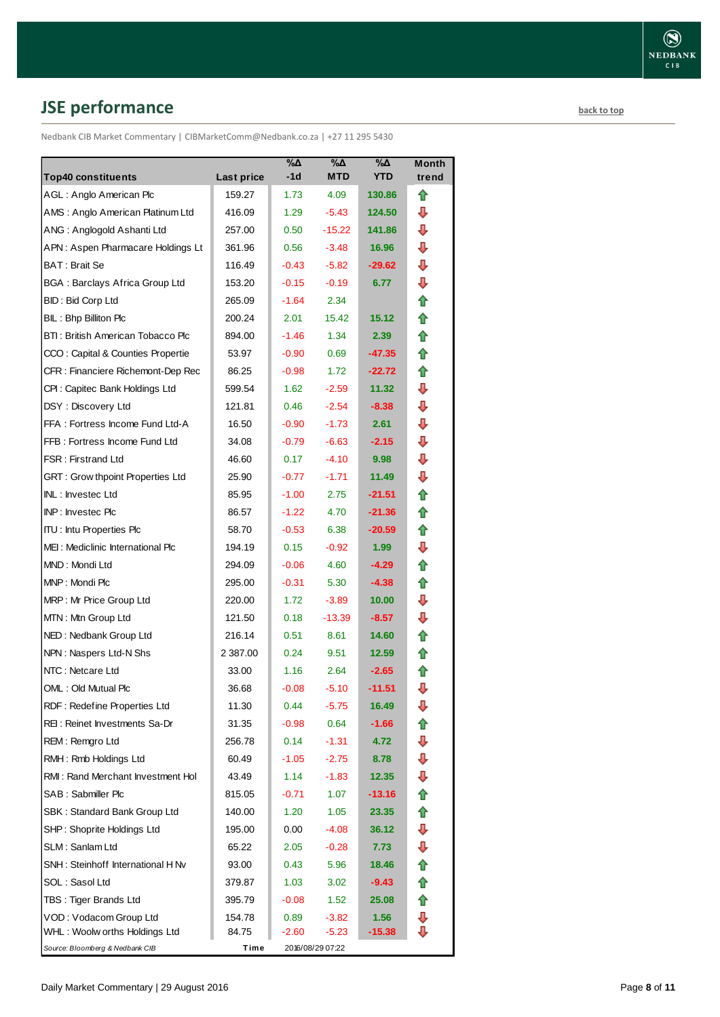# <span id="page-7-0"></span>**JSE performance [back to top](#page-0-0)**

Nedbank CIB Market Commentary | CIBMarketComm@Nedbank.co.za | +27 11 295 5430

| <b>Top40 constituents</b>             | Last price  | %Δ<br>$-1d$ | %Δ<br><b>MTD</b> | %Δ<br><b>YTD</b>  | Month<br>trend |
|---------------------------------------|-------------|-------------|------------------|-------------------|----------------|
| AGL: Anglo American Plc               | 159.27      | 1.73        | 4.09             | 130.86            | ⇑              |
| AMS: Anglo American Platinum Ltd      | 416.09      | 1.29        | $-5.43$          | 124.50            | ⊕              |
| ANG: Anglogold Ashanti Ltd            | 257.00      | 0.50        | -15.22           | 141.86            | ⊕              |
| APN: Aspen Pharmacare Holdings Lt     | 361.96      | 0.56        | $-3.48$          | 16.96             | ⇩              |
| BAT: Brait Se                         | 116.49      | $-0.43$     | $-5.82$          | $-29.62$          | ⇩              |
| <b>BGA: Barclays Africa Group Ltd</b> | 153.20      | $-0.15$     | $-0.19$          | 6.77              | ⇩              |
| BID: Bid Corp Ltd                     | 265.09      | $-1.64$     | 2.34             |                   | 合              |
| BIL: Bhp Billiton Plc                 | 200.24      | 2.01        | 15.42            | 15.12             | ⇑              |
| BTI: British American Tobacco Plc     | 894.00      | $-1.46$     | 1.34             | 2.39              | ⇑              |
| CCO: Capital & Counties Propertie     | 53.97       | $-0.90$     | 0.69             | $-47.35$          | ✿              |
| CFR : Financiere Richemont-Dep Rec    | 86.25       | $-0.98$     | 1.72             | $-22.72$          | ⇑              |
| CPI: Capitec Bank Holdings Ltd        | 599.54      | 1.62        | $-2.59$          | 11.32             | ⇩              |
| DSY: Discovery Ltd                    | 121.81      | 0.46        | $-2.54$          | $-8.38$           | ⇩              |
| FFA: Fortress Income Fund Ltd-A       | 16.50       | $-0.90$     | $-1.73$          | 2.61              | ⇩              |
| FFB: Fortress Income Fund Ltd         | 34.08       | $-0.79$     | $-6.63$          | $-2.15$           | ⇩              |
| <b>FSR: Firstrand Ltd</b>             | 46.60       | 0.17        | $-4.10$          | 9.98              | ⇩              |
| GRT : Grow thpoint Properties Ltd     | 25.90       | $-0.77$     | $-1.71$          | 11.49             | ⇩              |
| INL: Investec Ltd                     | 85.95       | $-1.00$     | 2.75             | -21.51            | ⇑              |
| INP: Investec Plc                     | 86.57       | $-1.22$     | 4.70             | $-21.36$          | 合              |
| <b>ITU: Intu Properties Plc</b>       | 58.70       | $-0.53$     | 6.38             | $-20.59$          | ⇑              |
| MEI: Mediclinic International Plc     | 194.19      | 0.15        | $-0.92$          | 1.99 <sub>1</sub> | ⇩              |
| MND: Mondi Ltd                        | 294.09      | $-0.06$     | 4.60             | -4.29             | ⇑              |
| MNP: Mondi Plc                        | 295.00      | $-0.31$     | 5.30             | $-4.38$           | ⇑              |
| MRP: Mr Price Group Ltd               | 220.00      | 1.72        | $-3.89$          | 10.00             | ⊕              |
| MTN: Mtn Group Ltd                    | 121.50      | 0.18        | $-13.39$         | $-8.57$           | ⇩              |
| NED: Nedbank Group Ltd                | 216.14      | 0.51        | 8.61             | 14.60             | ⇑              |
| NPN: Naspers Ltd-N Shs                | 2 3 8 7 .00 | 0.24        | 9.51             | 12.59             | ⇑              |
| NTC: Netcare Ltd                      | 33.00       | 1.16        | 2.64             | $-2.65$           | ⇑              |
| OML: Old Mutual Plc                   | 36.68       | $-0.08$     | $-5.10$          | $-11.51$          | ⇩              |
| RDF: Redefine Properties Ltd          | 11.30       | 0.44        | $-5.75$          | 16.49             | ⊕              |
| REI: Reinet Investments Sa-Dr         | 31.35       | $-0.98$     | 0.64             | -1.66             |                |
| REM: Remgro Ltd                       | 256.78      | 0.14        | $-1.31$          | 4.72              | ⊕              |
| RMH: Rmb Holdings Ltd                 | 60.49       | $-1.05$     | $-2.75$          | 8.78              | ⊕              |
| RMI: Rand Merchant Investment Hol     | 43.49       | 1.14        | $-1.83$          | 12.35             | ⇩              |
| SAB: Sabmiller Plc                    | 815.05      | $-0.71$     | 1.07             | $-13.16$          | ⇑              |
| SBK: Standard Bank Group Ltd          | 140.00      | 1.20        | 1.05             | 23.35             | ⇑              |
| SHP: Shoprite Holdings Ltd            | 195.00      | 0.00        | $-4.08$          | 36.12             | ⇩              |
| SLM: Sanlam Ltd                       | 65.22       | 2.05        | -0.28            | 7.73              | ⊕              |
| SNH: Steinhoff International H Nv     | 93.00       | 0.43        | 5.96             | 18.46             | ✿              |
| SOL: Sasol Ltd                        | 379.87      | 1.03        | 3.02             | $-9.43$           | 合              |
| TBS: Tiger Brands Ltd                 | 395.79      | $-0.08$     | 1.52             | 25.08             | 合              |
| VOD: Vodacom Group Ltd                | 154.78      | 0.89        | $-3.82$          | 1.56              | ⊕              |
| WHL: Woolw orths Holdings Ltd         | 84.75       | -2.60       | $-5.23$          | $-15.38$          | ⇩              |
| Source: Bloomberg & Nedbank CIB       | Time        |             | 2016/08/29 07:22 |                   |                |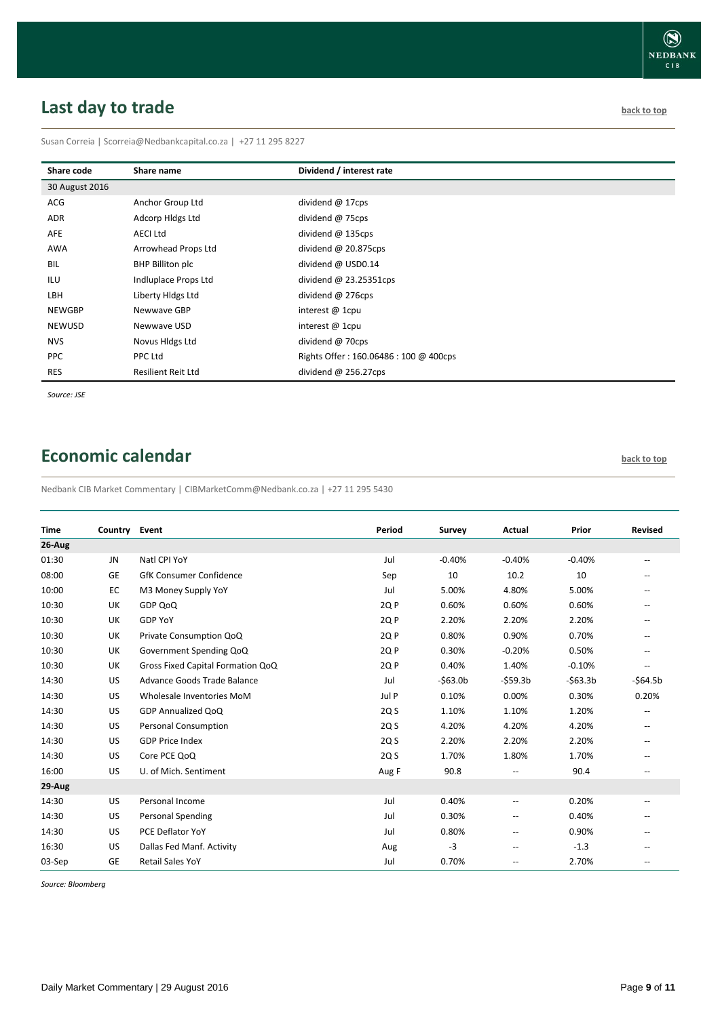# <span id="page-8-0"></span>**Last day to trade back to the contract of the contract of the contract of the contract of the contract of the contract of the contract of the contract of the contract of the contract of the contract of the contract of t**

Susan Correia | [Scorreia@Nedbankcapital.co.za](mailto:Scorreia@Nedbankcapital.co.za) | +27 11 295 8227

| Share code     | Share name                | Dividend / interest rate              |
|----------------|---------------------------|---------------------------------------|
| 30 August 2016 |                           |                                       |
| ACG            | Anchor Group Ltd          | dividend @ 17cps                      |
| ADR            | Adcorp Hidgs Ltd          | dividend @ 75cps                      |
| AFE            | <b>AECI Ltd</b>           | dividend $@$ 135cps                   |
| AWA            | Arrowhead Props Ltd       | dividend @ 20.875cps                  |
| BIL            | BHP Billiton plc          | dividend @ USD0.14                    |
| ILU            | Indluplace Props Ltd      | dividend $\omega$ 23.25351cps         |
| LBH            | Liberty Hldgs Ltd         | dividend @ 276cps                     |
| <b>NEWGBP</b>  | Newwave GBP               | interest $@$ 1cpu                     |
| <b>NEWUSD</b>  | Newwave USD               | interest $@$ 1cpu                     |
| <b>NVS</b>     | Novus Hidgs Ltd           | dividend @ 70cps                      |
| <b>PPC</b>     | PPC Ltd                   | Rights Offer: 160.06486: 100 @ 400cps |
| <b>RES</b>     | <b>Resilient Reit Ltd</b> | dividend $@$ 256.27cps                |

*Source: JSE*

## <span id="page-8-1"></span>**Economic calendar [back to top](#page-0-0) back to top**

Nedbank CIB Market Commentary | CIBMarketComm@Nedbank.co.za | +27 11 295 5430

| <b>Time</b> | Country   | Event                             | Period          | Survey    | Actual                   | Prior     | <b>Revised</b>                                      |
|-------------|-----------|-----------------------------------|-----------------|-----------|--------------------------|-----------|-----------------------------------------------------|
| 26-Aug      |           |                                   |                 |           |                          |           |                                                     |
| 01:30       | JN        | Natl CPI YoY                      | Jul             | $-0.40%$  | $-0.40%$                 | $-0.40%$  | $\overline{\phantom{a}}$                            |
| 08:00       | GE        | <b>GfK Consumer Confidence</b>    | Sep             | 10        | 10.2                     | 10        | $\overline{\phantom{a}}$                            |
| 10:00       | EC        | M3 Money Supply YoY               | Jul             | 5.00%     | 4.80%                    | 5.00%     |                                                     |
| 10:30       | UK        | GDP QoQ                           | 2Q P            | 0.60%     | 0.60%                    | 0.60%     |                                                     |
| 10:30       | UK        | <b>GDP YoY</b>                    | 2Q P            | 2.20%     | 2.20%                    | 2.20%     |                                                     |
| 10:30       | UK        | Private Consumption QoQ           | 2Q P            | 0.80%     | 0.90%                    | 0.70%     | $\overline{\phantom{a}}$                            |
| 10:30       | UK        | Government Spending QoQ           | 2Q P            | 0.30%     | $-0.20%$                 | 0.50%     | $\hspace{0.05cm} -\hspace{0.05cm} -\hspace{0.05cm}$ |
| 10:30       | UK        | Gross Fixed Capital Formation QoQ | 2Q <sub>P</sub> | 0.40%     | 1.40%                    | $-0.10%$  | $\overline{\phantom{a}}$                            |
| 14:30       | US        | Advance Goods Trade Balance       | Jul             | $-563.0b$ | $-$ \$59.3b              | $-563.3b$ | $-564.5b$                                           |
| 14:30       | US        | Wholesale Inventories MoM         | Jul P           | 0.10%     | 0.00%                    | 0.30%     | 0.20%                                               |
| 14:30       | US        | GDP Annualized QoQ                | 2Q S            | 1.10%     | 1.10%                    | 1.20%     |                                                     |
| 14:30       | US        | <b>Personal Consumption</b>       | 2Q S            | 4.20%     | 4.20%                    | 4.20%     | $\qquad \qquad -$                                   |
| 14:30       | US        | <b>GDP Price Index</b>            | 2Q S            | 2.20%     | 2.20%                    | 2.20%     | $\hspace{0.05cm} -\hspace{0.05cm} -\hspace{0.05cm}$ |
| 14:30       | US        | Core PCE QoQ                      | 2Q S            | 1.70%     | 1.80%                    | 1.70%     | $\overline{\phantom{a}}$                            |
| 16:00       | US        | U. of Mich. Sentiment             | Aug F           | 90.8      | --                       | 90.4      | $\overline{\phantom{a}}$                            |
| 29-Aug      |           |                                   |                 |           |                          |           |                                                     |
| 14:30       | US        | Personal Income                   | Jul             | 0.40%     | --                       | 0.20%     | --                                                  |
| 14:30       | US        | Personal Spending                 | Jul             | 0.30%     | $-$                      | 0.40%     |                                                     |
| 14:30       | US        | PCE Deflator YoY                  | Jul             | 0.80%     | --                       | 0.90%     | --                                                  |
| 16:30       | US        | Dallas Fed Manf. Activity         | Aug             | $-3$      | $\overline{\phantom{a}}$ | $-1.3$    | $\hspace{0.05cm} -\hspace{0.05cm} -\hspace{0.05cm}$ |
| 03-Sep      | <b>GE</b> | <b>Retail Sales YoY</b>           | Jul             | 0.70%     | --                       | 2.70%     | $\overline{\phantom{a}}$                            |

*Source: Bloomberg*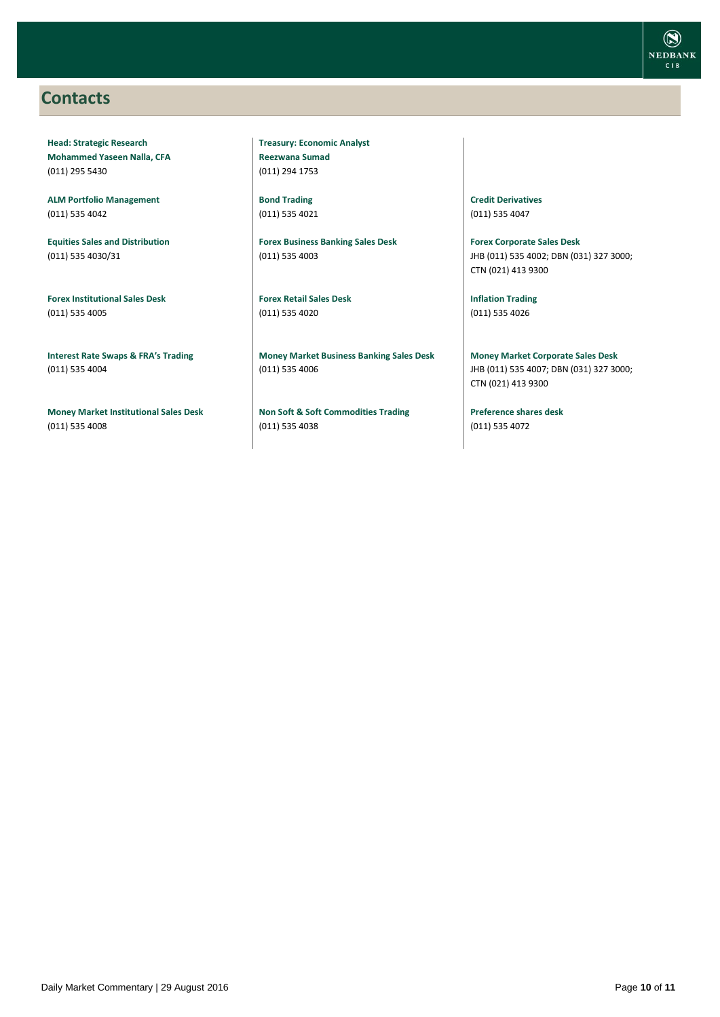### <span id="page-9-0"></span>**Contacts**

**Head: Strategic Research Mohammed Yaseen Nalla, CFA** (011) 295 5430

**ALM Portfolio Management** (011) 535 4042

**Equities Sales and Distribution** (011) 535 4030/31

**Forex Institutional Sales Desk** (011) 535 4005

**Interest Rate Swaps & FRA's Trading** (011) 535 4004

**Money Market Institutional Sales Desk** (011) 535 4008

**Treasury: Economic Analyst Reezwana Sumad** (011) 294 1753

**Bond Trading** (011) 535 4021

**Forex Business Banking Sales Desk** (011) 535 4003

**Forex Retail Sales Desk** (011) 535 4020

**Money Market Business Banking Sales Desk** (011) 535 4006

**Non Soft & Soft Commodities Trading** (011) 535 4038

**Credit Derivatives**  (011) 535 4047

**Forex Corporate Sales Desk** JHB (011) 535 4002; DBN (031) 327 3000; CTN (021) 413 9300

**Inflation Trading** (011) 535 4026

**Money Market Corporate Sales Desk** JHB (011) 535 4007; DBN (031) 327 3000; CTN (021) 413 9300

**Preference shares desk** (011) 535 4072